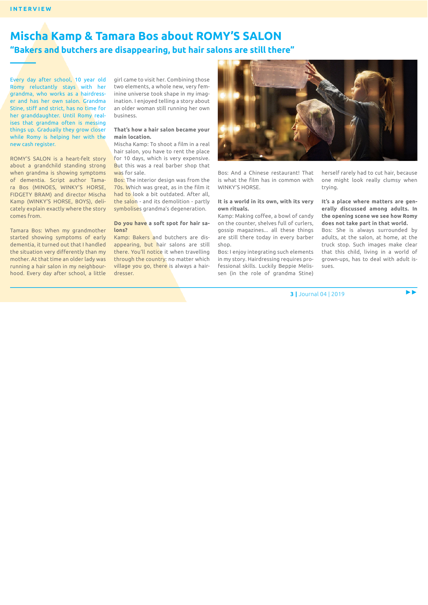# Mischa Kamp & Tamara Bos about ROMY'S SALON "Bakers and butchers are disappearing, but hair salons are still there"

Every day after school. 10 year old Romy reluctantly stays with her grandma, who works as a hairdresser and has her own salon. Grandma Stine, stiff and strict, has no time for her granddaughter. Until Romy realises that grandma often is messing things up. Gradually they grow closer while Romy is helping her with the new cash register.

ROMY'S SALON is a heart-felt story about a grandchild standing strong when grandma is showing symptoms of dementia. Script author Tamara Bos (MINOES, WINKY'S HORSE, FIDGETY BRAM) and director Mischa Kamp (WINKY'S HORSE, BOYS), delicately explain exactly where the story comes from.

Tamara Bos: When my grandmother started showing symptoms of early dementia, it turned out that I handled the situation very differently than my mother. At that time an older lady was running a hair salon in my neighbourhood. Every day after school, a little

girl came to visit her. Combining those two elements, a whole new, very feminine universe took shape in my imagination. I enioved telling a story about an older woman still running her own business.

# That's how a hair salon became your main location.

Mischa Kamp: To shoot a film in a real hair salon, you have to rent the place for 10 days, which is very expensive. But this was a real barber shop that was for sale.

Bos: The interior design was from the 70s. Which was great, as in the film it had to look a bit outdated. After all. the salon - and its demolition - partly symbolises grandma's degeneration.

#### Do you have a soft spot for hair salons?

Kamp: Bakers and butchers are disappearing, but hair salons are still there. You'll notice it when travelling through the country: no matter which village you go, there is always a hairdresser.



Bos: And a Chinese restaurant! That is what the film has in common with WINKY'S HORSE

### It is a world in its own, with its very own rituals.

Kamp: Making coffee, a bowl of candy on the counter, shelves full of curlers, gossip magazines... all these things are still there today in every barber shon

Bos: I enjoy integrating such elements in my story. Hairdressing requires professional skills. Luckily Beppie Melissen (in the role of grandma Stine)

herself rarely had to cut hair, because one might look really clumsy when trving.

It's a place where matters are generally discussed among adults. In the opening scene we see how Romy does not take part in that world.

Bos: She is always surrounded by adults, at the salon, at home, at the truck stop. Such images make clear that this child, living in a world of grown-ups, has to deal with adult is-**SULPS** 

3 | Journal 04 | 2019